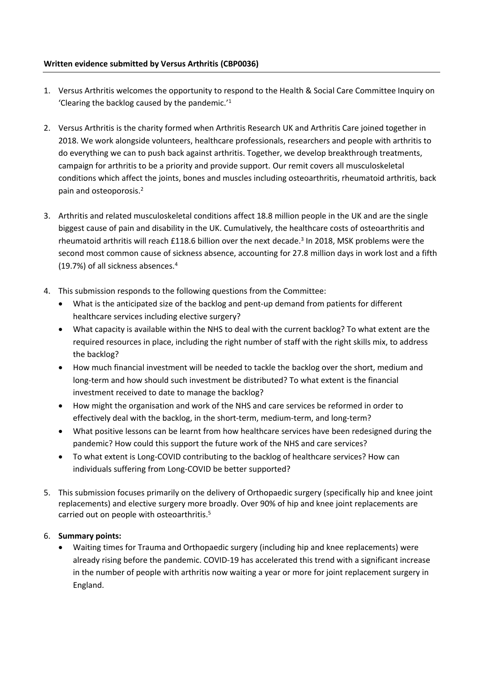### **Written evidence submitted by Versus Arthritis (CBP0036)**

- 1. Versus Arthritis welcomes the opportunity to respond to the Health & Social Care Committee Inquiry on 'Clearing the backlog caused by the pandemic.'<sup>1</sup>
- 2. Versus Arthritis is the charity formed when Arthritis Research UK and Arthritis Care joined together in 2018. We work alongside volunteers, healthcare professionals, researchers and people with arthritis to do everything we can to push back against arthritis. Together, we develop breakthrough treatments, campaign for arthritis to be a priority and provide support. Our remit covers all musculoskeletal conditions which affect the joints, bones and muscles including osteoarthritis, rheumatoid arthritis, back pain and osteoporosis.<sup>2</sup>
- 3. Arthritis and related musculoskeletal conditions affect 18.8 million people in the UK and are the single biggest cause of pain and disability in the UK. Cumulatively, the healthcare costs of osteoarthritis and rheumatoid arthritis will reach £118.6 billion over the next decade.<sup>3</sup> In 2018, MSK problems were the second most common cause of sickness absence, accounting for 27.8 million days in work lost and a fifth (19.7%) of all sickness absences.<sup>4</sup>
- 4. This submission responds to the following questions from the Committee:
	- What is the anticipated size of the backlog and pent-up demand from patients for different healthcare services including elective surgery?
	- What capacity is available within the NHS to deal with the current backlog? To what extent are the required resources in place, including the right number of staff with the right skills mix, to address the backlog?
	- How much financial investment will be needed to tackle the backlog over the short, medium and long-term and how should such investment be distributed? To what extent is the financial investment received to date to manage the backlog?
	- How might the organisation and work of the NHS and care services be reformed in order to effectively deal with the backlog, in the short-term, medium-term, and long-term?
	- What positive lessons can be learnt from how healthcare services have been redesigned during the pandemic? How could this support the future work of the NHS and care services?
	- To what extent is Long-COVID contributing to the backlog of healthcare services? How can individuals suffering from Long-COVID be better supported?
- 5. This submission focuses primarily on the delivery of Orthopaedic surgery (specifically hip and knee joint replacements) and elective surgery more broadly. Over 90% of hip and knee joint replacements are carried out on people with osteoarthritis.<sup>5</sup>

### 6. **Summary points:**

 Waiting times for Trauma and Orthopaedic surgery (including hip and knee replacements) were already rising before the pandemic. COVID-19 has accelerated this trend with a significant increase in the number of people with arthritis now waiting a year or more for joint replacement surgery in England.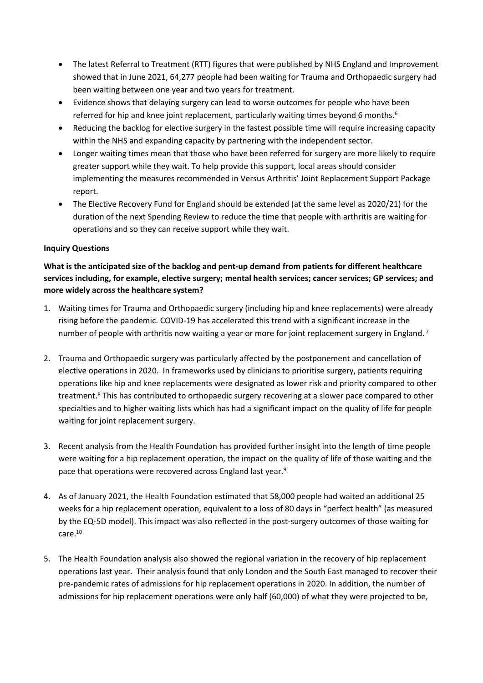- The latest Referral to Treatment (RTT) figures that were published by NHS England and Improvement showed that in June 2021, 64,277 people had been waiting for Trauma and Orthopaedic surgery had been waiting between one year and two years for treatment.
- Evidence shows that delaying surgery can lead to worse outcomes for people who have been referred for hip and knee joint replacement, particularly waiting times beyond 6 months.<sup>6</sup>
- Reducing the backlog for elective surgery in the fastest possible time will require increasing capacity within the NHS and expanding capacity by partnering with the independent sector.
- Longer waiting times mean that those who have been referred for surgery are more likely to require greater support while they wait. To help provide this support, local areas should consider implementing the measures recommended in Versus Arthritis' Joint Replacement Support Package report.
- The Elective Recovery Fund for England should be extended (at the same level as 2020/21) for the duration of the next Spending Review to reduce the time that people with arthritis are waiting for operations and so they can receive support while they wait.

### **Inquiry Questions**

# **What is the anticipated size of the backlog and pent-up demand from patients for different healthcare services including, for example, elective surgery; mental health services; cancer services; GP services; and more widely across the healthcare system?**

- 1. Waiting times for Trauma and Orthopaedic surgery (including hip and knee replacements) were already rising before the pandemic. COVID-19 has accelerated this trend with a significant increase in the number of people with arthritis now waiting a year or more for joint replacement surgery in England.<sup>7</sup>
- 2. Trauma and Orthopaedic surgery was particularly affected by the postponement and cancellation of elective operations in 2020. In frameworks used by clinicians to prioritise surgery, patients requiring operations like hip and knee replacements were designated as lower risk and priority compared to other treatment.<sup>8</sup> This has contributed to orthopaedic surgery recovering at a slower pace compared to other specialties and to higher waiting lists which has had a significant impact on the quality of life for people waiting for joint replacement surgery.
- 3. Recent analysis from the Health Foundation has provided further insight into the length of time people were waiting for a hip replacement operation, the impact on the quality of life of those waiting and the pace that operations were recovered across England last year.<sup>9</sup>
- 4. As of January 2021, the Health Foundation estimated that 58,000 people had waited an additional 25 weeks for a hip replacement operation, equivalent to a loss of 80 days in "perfect health" (as measured by the EQ-5D model). This impact was also reflected in the post-surgery outcomes of those waiting for care.<sup>10</sup>
- 5. The Health Foundation analysis also showed the regional variation in the recovery of hip replacement operations last year. Their analysis found that only London and the South East managed to recover their pre-pandemic rates of admissions for hip replacement operations in 2020. In addition, the number of admissions for hip replacement operations were only half (60,000) of what they were projected to be,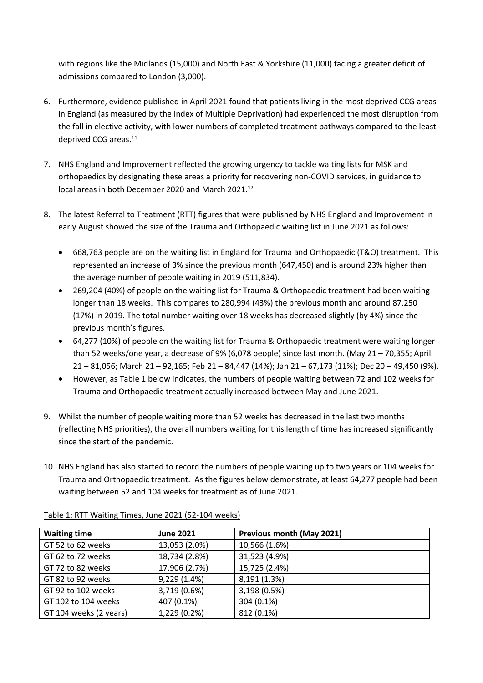with regions like the Midlands (15,000) and North East & Yorkshire (11,000) facing a greater deficit of admissions compared to London (3,000).

- 6. Furthermore, evidence published in April 2021 found that patients living in the most deprived CCG areas in England (as measured by the Index of Multiple Deprivation) had experienced the most disruption from the fall in elective activity, with lower numbers of completed treatment pathways compared to the least deprived CCG areas.<sup>11</sup>
- 7. NHS England and Improvement reflected the growing urgency to tackle waiting lists for MSK and orthopaedics by designating these areas a priority for recovering non-COVID services, in guidance to local areas in both December 2020 and March 2021.<sup>12</sup>
- 8. The latest Referral to Treatment (RTT) figures that were published by NHS England and Improvement in early August showed the size of the Trauma and Orthopaedic waiting list in June 2021 as follows:
	- 668,763 people are on the waiting list in England for Trauma and Orthopaedic (T&O) treatment. This represented an increase of 3% since the previous month (647,450) and is around 23% higher than the average number of people waiting in 2019 (511,834).
	- 269,204 (40%) of people on the waiting list for Trauma & Orthopaedic treatment had been waiting longer than 18 weeks. This compares to 280,994 (43%) the previous month and around 87,250 (17%) in 2019. The total number waiting over 18 weeks has decreased slightly (by 4%) since the previous month's figures.
	- 64,277 (10%) of people on the waiting list for Trauma & Orthopaedic treatment were waiting longer than 52 weeks/one year, a decrease of 9% (6,078 people) since last month. (May 21 – 70,355; April 21 – 81,056; March 21 – 92,165; Feb 21 – 84,447 (14%); Jan 21 – 67,173 (11%); Dec 20 – 49,450 (9%).
	- However, as Table 1 below indicates, the numbers of people waiting between 72 and 102 weeks for Trauma and Orthopaedic treatment actually increased between May and June 2021.
- 9. Whilst the number of people waiting more than 52 weeks has decreased in the last two months (reflecting NHS priorities), the overall numbers waiting for this length of time has increased significantly since the start of the pandemic.
- 10. NHS England has also started to record the numbers of people waiting up to two years or 104 weeks for Trauma and Orthopaedic treatment. As the figures below demonstrate, at least 64,277 people had been waiting between 52 and 104 weeks for treatment as of June 2021.

| <b>Waiting time</b>    | <b>June 2021</b> | <b>Previous month (May 2021)</b> |
|------------------------|------------------|----------------------------------|
| GT 52 to 62 weeks      | 13,053 (2.0%)    | 10,566 (1.6%)                    |
| GT 62 to 72 weeks      | 18,734 (2.8%)    | 31,523 (4.9%)                    |
| GT 72 to 82 weeks      | 17,906 (2.7%)    | 15,725 (2.4%)                    |
| GT 82 to 92 weeks      | 9,229 (1.4%)     | 8,191 (1.3%)                     |
| GT 92 to 102 weeks     | 3,719 (0.6%)     | 3,198 (0.5%)                     |
| GT 102 to 104 weeks    | 407 (0.1%)       | 304 (0.1%)                       |
| GT 104 weeks (2 years) | 1,229 (0.2%)     | 812 (0.1%)                       |

### Table 1: RTT Waiting Times, June 2021 (52-104 weeks)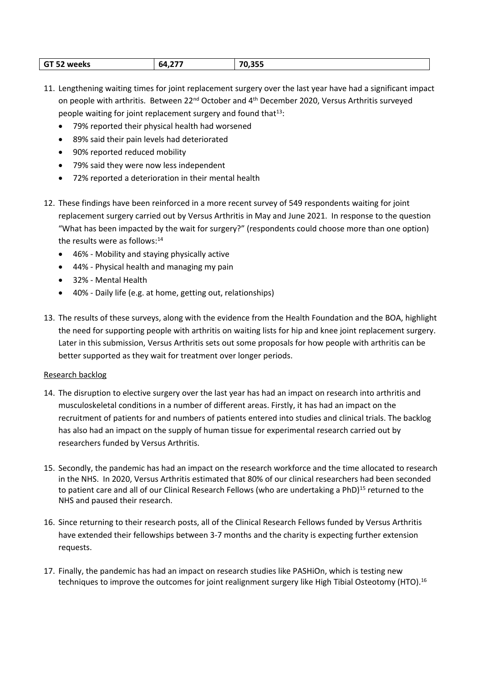| GT 52<br>64<br>52 weeks | $- - -$<br>4.ZI J | 70,355 |
|-------------------------|-------------------|--------|
|-------------------------|-------------------|--------|

- 11. Lengthening waiting times for joint replacement surgery over the last year have had a significant impact on people with arthritis. Between 22<sup>nd</sup> October and 4<sup>th</sup> December 2020, Versus Arthritis surveyed people waiting for joint replacement surgery and found that<sup>13</sup>:
	- 79% reported their physical health had worsened
	- 89% said their pain levels had deteriorated
	- 90% reported reduced mobility
	- 79% said they were now less independent
	- 72% reported a deterioration in their mental health
- 12. These findings have been reinforced in a more recent survey of 549 respondents waiting for joint replacement surgery carried out by Versus Arthritis in May and June 2021. In response to the question "What has been impacted by the wait for surgery?" (respondents could choose more than one option) the results were as follows:<sup>14</sup>
	- 46% Mobility and staying physically active
	- 44% Physical health and managing my pain
	- 32% Mental Health
	- 40% Daily life (e.g. at home, getting out, relationships)
- 13. The results of these surveys, along with the evidence from the Health Foundation and the BOA, highlight the need for supporting people with arthritis on waiting lists for hip and knee joint replacement surgery. Later in this submission, Versus Arthritis sets out some proposals for how people with arthritis can be better supported as they wait for treatment over longer periods.

### Research backlog

- 14. The disruption to elective surgery over the last year has had an impact on research into arthritis and musculoskeletal conditions in a number of different areas. Firstly, it has had an impact on the recruitment of patients for and numbers of patients entered into studies and clinical trials. The backlog has also had an impact on the supply of human tissue for experimental research carried out by researchers funded by Versus Arthritis.
- 15. Secondly, the pandemic has had an impact on the research workforce and the time allocated to research in the NHS. In 2020, Versus Arthritis estimated that 80% of our clinical researchers had been seconded to patient care and all of our Clinical Research Fellows (who are undertaking a PhD)<sup>15</sup> returned to the NHS and paused their research.
- 16. Since returning to their research posts, all of the Clinical Research Fellows funded by Versus Arthritis have extended their fellowships between 3-7 months and the charity is expecting further extension requests.
- 17. Finally, the pandemic has had an impact on research studies like PASHiOn, which is testing new techniques to improve the outcomes for joint realignment surgery like High Tibial Osteotomy (HTO).<sup>16</sup>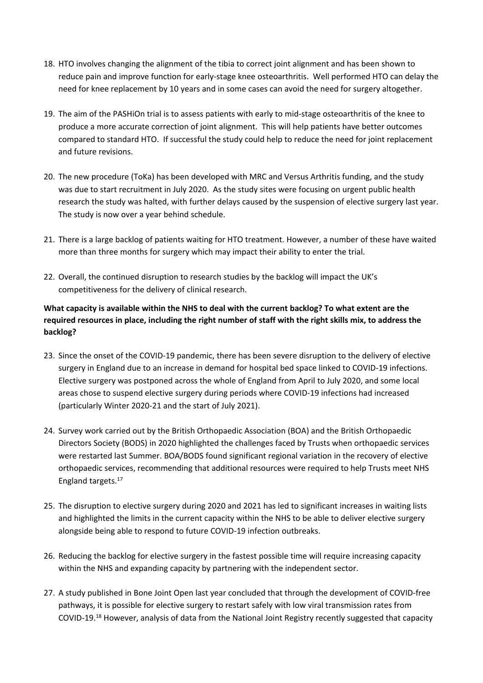- 18. HTO involves changing the alignment of the tibia to correct joint alignment and has been shown to reduce pain and improve function for early-stage knee osteoarthritis. Well performed HTO can delay the need for knee replacement by 10 years and in some cases can avoid the need for surgery altogether.
- 19. The aim of the PASHiOn trial is to assess patients with early to mid-stage osteoarthritis of the knee to produce a more accurate correction of joint alignment. This will help patients have better outcomes compared to standard HTO. If successful the study could help to reduce the need for joint replacement and future revisions.
- 20. The new procedure (ToKa) has been developed with MRC and Versus Arthritis funding, and the study was due to start recruitment in July 2020. As the study sites were focusing on urgent public health research the study was halted, with further delays caused by the suspension of elective surgery last year. The study is now over a year behind schedule.
- 21. There is a large backlog of patients waiting for HTO treatment. However, a number of these have waited more than three months for surgery which may impact their ability to enter the trial.
- 22. Overall, the continued disruption to research studies by the backlog will impact the UK's competitiveness for the delivery of clinical research.

# **What capacity is available within the NHS to deal with the current backlog? To what extent are the** required resources in place, including the right number of staff with the right skills mix, to address the **backlog?**

- 23. Since the onset of the COVID-19 pandemic, there has been severe disruption to the delivery of elective surgery in England due to an increase in demand for hospital bed space linked to COVID-19 infections. Elective surgery was postponed across the whole of England from April to July 2020, and some local areas chose to suspend elective surgery during periods where COVID-19 infections had increased (particularly Winter 2020-21 and the start of July 2021).
- 24. Survey work carried out by the British Orthopaedic Association (BOA) and the British Orthopaedic Directors Society (BODS) in 2020 highlighted the challenges faced by Trusts when orthopaedic services were restarted last Summer. BOA/BODS found significant regional variation in the recovery of elective orthopaedic services, recommending that additional resources were required to help Trusts meet NHS England targets.<sup>17</sup>
- 25. The disruption to elective surgery during 2020 and 2021 has led to significant increases in waiting lists and highlighted the limits in the current capacity within the NHS to be able to deliver elective surgery alongside being able to respond to future COVID-19 infection outbreaks.
- 26. Reducing the backlog for elective surgery in the fastest possible time will require increasing capacity within the NHS and expanding capacity by partnering with the independent sector.
- 27. A study published in Bone Joint Open last year concluded that through the development of COVID-free pathways, it is possible for elective surgery to restart safely with low viral transmission rates from COVID-19.<sup>18</sup> However, analysis of data from the National Joint Registry recently suggested that capacity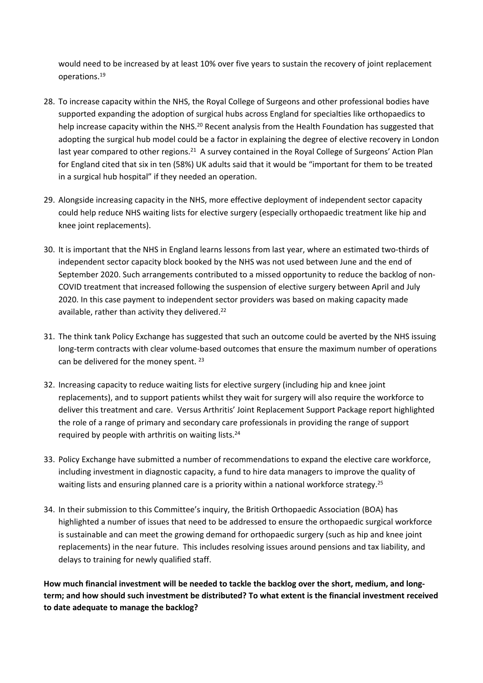would need to be increased by at least 10% over five years to sustain the recovery of joint replacement operations.<sup>19</sup>

- 28. To increase capacity within the NHS, the Royal College of Surgeons and other professional bodies have supported expanding the adoption of surgical hubs across England for specialties like orthopaedics to help increase capacity within the NHS.<sup>20</sup> Recent analysis from the Health Foundation has suggested that adopting the surgical hub model could be a factor in explaining the degree of elective recovery in London last year compared to other regions.<sup>21</sup> A survey contained in the Royal College of Surgeons' Action Plan for England cited that six in ten (58%) UK adults said that it would be "important for them to be treated in a surgical hub hospital" if they needed an operation.
- 29. Alongside increasing capacity in the NHS, more effective deployment of independent sector capacity could help reduce NHS waiting lists for elective surgery (especially orthopaedic treatment like hip and knee joint replacements).
- 30. It is important that the NHS in England learns lessons from last year, where an estimated two-thirds of independent sector capacity block booked by the NHS was not used between June and the end of September 2020. Such arrangements contributed to a missed opportunity to reduce the backlog of non-COVID treatment that increased following the suspension of elective surgery between April and July 2020. In this case payment to independent sector providers was based on making capacity made available, rather than activity they delivered.<sup>22</sup>
- 31. The think tank Policy Exchange has suggested that such an outcome could be averted by the NHS issuing long-term contracts with clear volume-based outcomes that ensure the maximum number of operations can be delivered for the money spent.<sup>23</sup>
- 32. Increasing capacity to reduce waiting lists for elective surgery (including hip and knee joint replacements), and to support patients whilst they wait for surgery will also require the workforce to deliver this treatment and care. Versus Arthritis' Joint Replacement Support Package report highlighted the role of a range of primary and secondary care professionals in providing the range of support required by people with arthritis on waiting lists.<sup>24</sup>
- 33. Policy Exchange have submitted a number of recommendations to expand the elective care workforce, including investment in diagnostic capacity, a fund to hire data managers to improve the quality of waiting lists and ensuring planned care is a priority within a national workforce strategy.<sup>25</sup>
- 34. In their submission to this Committee's inquiry, the British Orthopaedic Association (BOA) has highlighted a number of issues that need to be addressed to ensure the orthopaedic surgical workforce is sustainable and can meet the growing demand for orthopaedic surgery (such as hip and knee joint replacements) in the near future. This includes resolving issues around pensions and tax liability, and delays to training for newly qualified staff.

**How much financial investment will be needed to tackle the backlog over the short, medium, and longterm; and how should such investment be distributed? To what extent is the financial investment received to date adequate to manage the backlog?**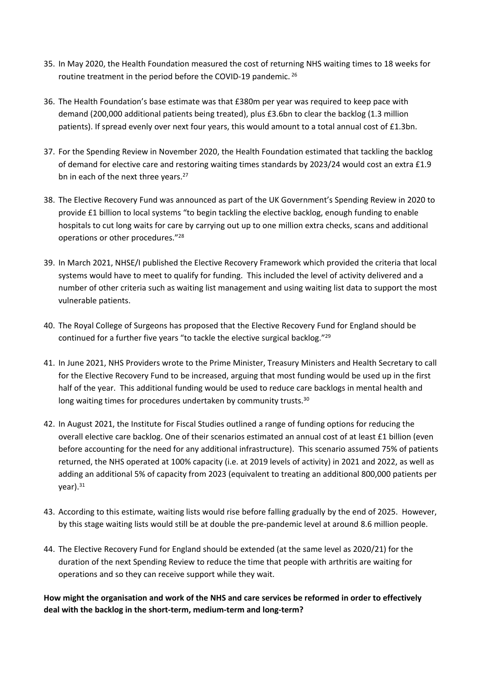- 35. In May 2020, the Health Foundation measured the cost of returning NHS waiting times to 18 weeks for routine treatment in the period before the COVID-19 pandemic. <sup>26</sup>
- 36. The Health Foundation's base estimate was that £380m per year was required to keep pace with demand (200,000 additional patients being treated), plus £3.6bn to clear the backlog (1.3 million patients). If spread evenly over next four years, this would amount to a total annual cost of £1.3bn.
- 37. For the Spending Review in November 2020, the Health Foundation estimated that tackling the backlog of demand for elective care and restoring waiting times standards by 2023/24 would cost an extra £1.9 bn in each of the next three years.<sup>27</sup>
- 38. The Elective Recovery Fund was announced as part of the UK Government's Spending Review in 2020 to provide £1 billion to local systems "to begin tackling the elective backlog, enough funding to enable hospitals to cut long waits for care by carrying out up to one million extra checks, scans and additional operations or other procedures."<sup>28</sup>
- 39. In March 2021, NHSE/I published the Elective Recovery Framework which provided the criteria that local systems would have to meet to qualify for funding. This included the level of activity delivered and a number of other criteria such as waiting list management and using waiting list data to support the most vulnerable patients.
- 40. The Royal College of Surgeons has proposed that the Elective Recovery Fund for England should be continued for a further five years "to tackle the elective surgical backlog."<sup>29</sup>
- 41. In June 2021, NHS Providers wrote to the Prime Minister, Treasury Ministers and Health Secretary to call for the Elective Recovery Fund to be increased, arguing that most funding would be used up in the first half of the year. This additional funding would be used to reduce care backlogs in mental health and long waiting times for procedures undertaken by community trusts.<sup>30</sup>
- 42. In August 2021, the Institute for Fiscal Studies outlined a range of funding options for reducing the overall elective care backlog. One of their scenarios estimated an annual cost of at least £1 billion (even before accounting for the need for any additional infrastructure). This scenario assumed 75% of patients returned, the NHS operated at 100% capacity (i.e. at 2019 levels of activity) in 2021 and 2022, as well as adding an additional 5% of capacity from 2023 (equivalent to treating an additional 800,000 patients per  $vear$ ). $31$
- 43. According to this estimate, waiting lists would rise before falling gradually by the end of 2025. However, by this stage waiting lists would still be at double the pre-pandemic level at around 8.6 million people.
- 44. The Elective Recovery Fund for England should be extended (at the same level as 2020/21) for the duration of the next Spending Review to reduce the time that people with arthritis are waiting for operations and so they can receive support while they wait.

How might the organisation and work of the NHS and care services be reformed in order to effectively **deal with the backlog in the short-term, medium-term and long-term?**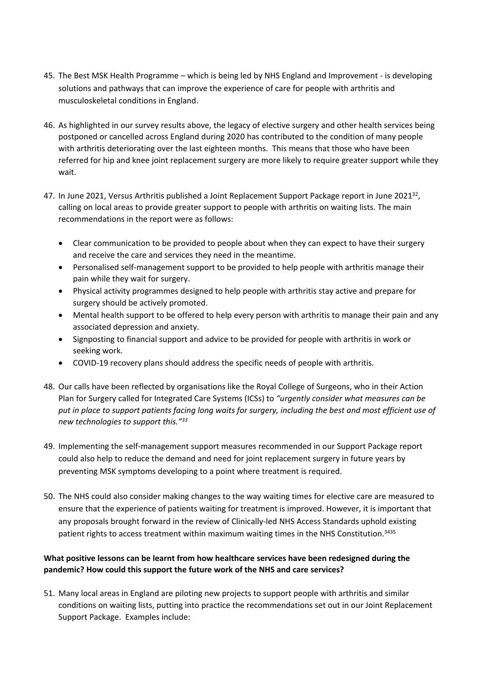- 45. The Best MSK Health Programme which is being led by NHS England and Improvement is developing solutions and pathways that can improve the experience of care for people with arthritis and musculoskeletal conditions in England.
- 46. As highlighted in our survey results above, the legacy of elective surgery and other health services being postponed or cancelled across England during 2020 has contributed to the condition of many people with arthritis deteriorating over the last eighteen months. This means that those who have been referred for hip and knee joint replacement surgery are more likely to require greater support while they wait.
- 47. In June 2021, Versus Arthritis published a Joint Replacement Support Package report in June 2021<sup>32</sup>, calling on local areas to provide greater support to people with arthritis on waiting lists. The main recommendations in the report were as follows:
	- Clear communication to be provided to people about when they can expect to have their surgery and receive the care and services they need in the meantime.
	- Personalised self-management support to be provided to help people with arthritis manage their pain while they wait for surgery.
	- Physical activity programmes designed to help people with arthritis stay active and prepare for surgery should be actively promoted.
	- Mental health support to be offered to help every person with arthritis to manage their pain and any associated depression and anxiety.
	- Signposting to financial support and advice to be provided for people with arthritis in work or seeking work.
	- COVID-19 recovery plans should address the specific needs of people with arthritis.
- 48. Our calls have been reflected by organisations like the Royal College of Surgeons, who in their Action Plan for Surgery called for Integrated Care Systems (ICSs) to *"urgently consider what measures can be* put in place to support patients facing long waits for surgery, including the best and most efficient use of *new technologies to support this."<sup>33</sup>*
- 49. Implementing the self-management support measures recommended in our Support Package report could also help to reduce the demand and need for joint replacement surgery in future years by preventing MSK symptoms developing to a point where treatment is required.
- 50. The NHS could also consider making changes to the way waiting times for elective care are measured to ensure that the experience of patients waiting for treatment is improved. However, it is important that any proposals brought forward in the review of Clinically-led NHS Access Standards uphold existing patient rights to access treatment within maximum waiting times in the NHS Constitution.<sup>3435</sup>

# **What positive lessons can be learnt from how healthcare services have been redesigned during the pandemic? How could this support the future work of the NHS and care services?**

51. Many local areas in England are piloting new projects to support people with arthritis and similar conditions on waiting lists, putting into practice the recommendations set out in our Joint Replacement Support Package. Examples include: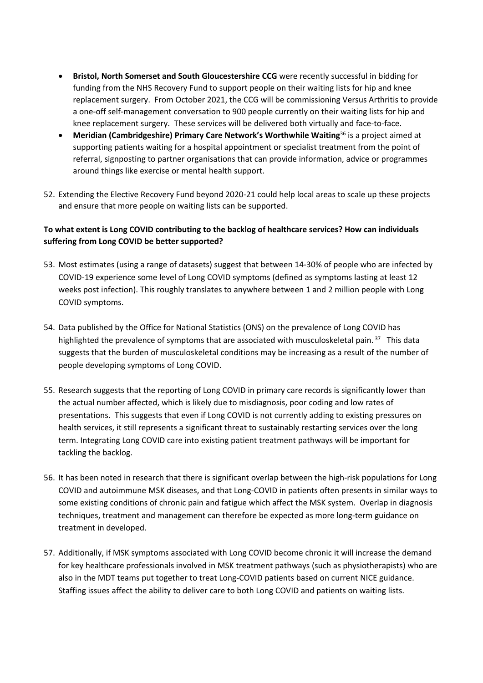- **Bristol, North Somerset and South Gloucestershire CCG** were recently successful in bidding for funding from the NHS Recovery Fund to support people on their waiting lists for hip and knee replacement surgery. From October 2021, the CCG will be commissioning Versus Arthritis to provide a one-off self-management conversation to 900 people currently on their waiting lists for hip and knee replacement surgery. These services will be delivered both virtually and face-to-face.
- **Meridian (Cambridgeshire) Primary Care Network's Worthwhile Waiting**<sup>36</sup> is a project aimed at supporting patients waiting for a hospital appointment or specialist treatment from the point of referral, signposting to partner organisations that can provide information, advice or programmes around things like exercise or mental health support.
- 52. Extending the Elective Recovery Fund beyond 2020-21 could help local areas to scale up these projects and ensure that more people on waiting lists can be supported.

# **To what extent is Long COVID contributing to the backlog of healthcare services? How can individuals suffering from Long COVID be better supported?**

- 53. Most estimates (using a range of datasets) suggest that between 14-30% of people who are infected by COVID-19 experience some level of Long COVID symptoms (defined as symptoms lasting at least 12 weeks post infection). This roughly translates to anywhere between 1 and 2 million people with Long COVID symptoms.
- 54. Data published by the Office for National Statistics (ONS) on the prevalence of Long COVID has highlighted the prevalence of symptoms that are associated with musculoskeletal pain.<sup>37</sup> This data suggests that the burden of musculoskeletal conditions may be increasing as a result of the number of people developing symptoms of Long COVID.
- 55. Research suggests that the reporting of Long COVID in primary care records is significantly lower than the actual number affected, which is likely due to misdiagnosis, poor coding and low rates of presentations. This suggests that even if Long COVID is not currently adding to existing pressures on health services, it still represents a significant threat to sustainably restarting services over the long term. Integrating Long COVID care into existing patient treatment pathways will be important for tackling the backlog.
- 56. It has been noted in research that there is significant overlap between the high-risk populations for Long COVID and autoimmune MSK diseases, and that Long-COVID in patients often presents in similar ways to some existing conditions of chronic pain and fatigue which affect the MSK system. Overlap in diagnosis techniques, treatment and management can therefore be expected as more long-term guidance on treatment in developed.
- 57. Additionally, if MSK symptoms associated with Long COVID become chronic it will increase the demand for key healthcare professionals involved in MSK treatment pathways (such as physiotherapists) who are also in the MDT teams put together to treat Long-COVID patients based on current NICE guidance. Staffing issues affect the ability to deliver care to both Long COVID and patients on waiting lists.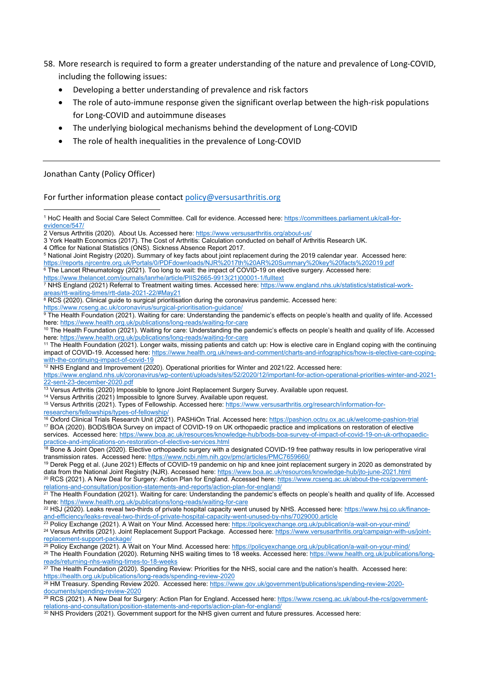- 58. More research is required to form a greater understanding of the nature and prevalence of Long-COVID, including the following issues:
	- Developing a better understanding of prevalence and risk factors
	- The role of auto-immune response given the significant overlap between the high-risk populations for Long-COVID and autoimmune diseases
	- The underlying biological mechanisms behind the development of Long-COVID
	- The role of health inequalities in the prevalence of Long-COVID

#### Jonathan Canty (Policy Officer)

For further information please contact [policy@versusarthritis.org](mailto:policy@versusarthritis.org)

- 3 York Health Economics (2017). The Cost of Arthritis: Calculation conducted on behalf of Arthritis Research UK.
- 4 Office for National Statistics (ONS). Sickness Absence Report 2017.

<sup>5</sup> National Joint Registry (2020). Summary of key facts about joint replacement during the 2019 calendar year. Accessed here: <https://reports.njrcentre.org.uk/Portals/0/PDFdownloads/NJR%2017th%20AR%20Summary%20key%20facts%202019.pdf>

<sup>6</sup> The Lancet Rheumatology (2021). Too long to wait: the impact of COVID-19 on elective surgery. Accessed here: [https://www.thelancet.com/journals/lanrhe/article/PIIS2665-9913\(21\)00001-1/fulltext](https://www.thelancet.com/journals/lanrhe/article/PIIS2665-9913(21)00001-1/fulltext)

<sup>7</sup> NHS England (2021) Referral to Treatment waiting times. Accessed here: [https://www.england.nhs.uk/statistics/statistical-work](https://www.england.nhs.uk/statistics/statistical-work-areas/rtt-waiting-times/rtt-data-2021-22/#May21)[areas/rtt-waiting-times/rtt-data-2021-22/#May21](https://www.england.nhs.uk/statistics/statistical-work-areas/rtt-waiting-times/rtt-data-2021-22/#May21)

<sup>8</sup> RCS (2020). Clinical guide to surgical prioritisation during the coronavirus pandemic. Accessed here:

<https://www.rcseng.ac.uk/coronavirus/surgical-prioritisation-guidance/>

<sup>9</sup> The Health Foundation (2021). Waiting for care: Understanding the pandemic's effects on people's health and quality of life. Accessed here: <https://www.health.org.uk/publications/long-reads/waiting-for-care>

10 The Health Foundation (2021). Waiting for care: Understanding the pandemic's effects on people's health and quality of life. Accessed here: <https://www.health.org.uk/publications/long-reads/waiting-for-care>

<sup>11</sup> The Health Foundation (2021). Longer waits, missing patients and catch up: How is elective care in England coping with the continuing impact of COVID-19. Accessed here: [https://www.health.org.uk/news-and-comment/charts-and-infographics/how-is-elective-care-coping](https://www.health.org.uk/news-and-comment/charts-and-infographics/how-is-elective-care-coping-with-the-continuing-impact-of-covid-19)[with-the-continuing-impact-of-covid-19](https://www.health.org.uk/news-and-comment/charts-and-infographics/how-is-elective-care-coping-with-the-continuing-impact-of-covid-19)

<sup>12</sup> NHS England and Improvement (2020). Operational priorities for Winter and 2021/22. Accessed here:

[https://www.england.nhs.uk/coronavirus/wp-content/uploads/sites/52/2020/12/important-for-action-operational-priorities-winter-and-2021-](https://www.england.nhs.uk/coronavirus/wp-content/uploads/sites/52/2020/12/important-for-action-operational-priorities-winter-and-2021-22-sent-23-december-2020.pdf) [22-sent-23-december-2020.pdf](https://www.england.nhs.uk/coronavirus/wp-content/uploads/sites/52/2020/12/important-for-action-operational-priorities-winter-and-2021-22-sent-23-december-2020.pdf)

<sup>13</sup> Versus Arthritis (2020) Impossible to Ignore Joint Replacement Surgery Survey. Available upon request.

<sup>14</sup> Versus Arthritis (2021) Impossible to Ignore Survey. Available upon request.

15 Versus Arthritis (2021). Types of Fellowship. Accessed here: [https://www.versusarthritis.org/research/information-for](https://www.versusarthritis.org/research/information-for-researchers/fellowships/types-of-fellowship/)[researchers/fellowships/types-of-fellowship/](https://www.versusarthritis.org/research/information-for-researchers/fellowships/types-of-fellowship/)

16 Oxford Clinical Trials Research Unit (2021). PASHiOn Trial. Accessed here: <https://pashion.octru.ox.ac.uk/welcome-pashion-trial> <sup>17</sup> BOA (2020). BODS/BOA Survey on impact of COVID-19 on UK orthopaedic practice and implications on restoration of elective services. Accessed here: [https://www.boa.ac.uk/resources/knowledge-hub/bods-boa-survey-of-impact-of-covid-19-on-uk-orthopaedic](https://www.boa.ac.uk/resources/knowledge-hub/bods-boa-survey-of-impact-of-covid-19-on-uk-orthopaedic-practice-and-implications-on-restoration-of-elective-services.html)[practice-and-implications-on-restoration-of-elective-services.html](https://www.boa.ac.uk/resources/knowledge-hub/bods-boa-survey-of-impact-of-covid-19-on-uk-orthopaedic-practice-and-implications-on-restoration-of-elective-services.html)

<sup>18</sup> Bone & Joint Open (2020). Elective orthopaedic surgery with a designated COVID-19 free pathway results in low perioperative viral transmission rates. Accessed here: <https://www.ncbi.nlm.nih.gov/pmc/articles/PMC7659660/>

<sup>19</sup> Derek Pegg et al. (June 2021) Effects of COVID-19 pandemic on hip and knee joint replacement surgery in 2020 as demonstrated by data from the National Joint Registry (NJR). Accessed here: <https://www.boa.ac.uk/resources/knowledge-hub/jto-june-2021.html>

<sup>20</sup> RCS (2021). A New Deal for Surgery: Action Plan for England. Accessed here: [https://www.rcseng.ac.uk/about-the-rcs/government](https://www.rcseng.ac.uk/about-the-rcs/government-relations-and-consultation/position-statements-and-reports/action-plan-for-england/)[relations-and-consultation/position-statements-and-reports/action-plan-for-england/](https://www.rcseng.ac.uk/about-the-rcs/government-relations-and-consultation/position-statements-and-reports/action-plan-for-england/)

<sup>22</sup> HSJ (2020). Leaks reveal two-thirds of private hospital capacity went unused by NHS. Accessed here: [https://www.hsj.co.uk/finance](https://www.hsj.co.uk/finance-and-efficiency/leaks-reveal-two-thirds-of-private-hospital-capacity-went-unused-by-nhs/7029000.article)[and-efficiency/leaks-reveal-two-thirds-of-private-hospital-capacity-went-unused-by-nhs/7029000.article](https://www.hsj.co.uk/finance-and-efficiency/leaks-reveal-two-thirds-of-private-hospital-capacity-went-unused-by-nhs/7029000.article)

<sup>23</sup> Policy Exchange (2021). A Wait on Your Mind. Accessed here: <https://policyexchange.org.uk/publication/a-wait-on-your-mind/> <sup>24</sup> Versus Arthritis (2021). Joint Replacement Support Package. Accessed here: [https://www.versusarthritis.org/campaign-with-us/joint](https://www.versusarthritis.org/campaign-with-us/joint-replacement-support-package/)[replacement-support-package/](https://www.versusarthritis.org/campaign-with-us/joint-replacement-support-package/)

<sup>25</sup> Policy Exchange (2021). A Wait on Your Mind. Accessed here: <https://policyexchange.org.uk/publication/a-wait-on-your-mind/>

<sup>26</sup> The Health Foundation (2020). Returning NHS waiting times to 18 weeks. Accessed here: [https://www.health.org.uk/publications/long](https://www.health.org.uk/publications/long-reads/returning-nhs-waiting-times-to-18-weeks)[reads/returning-nhs-waiting-times-to-18-weeks](https://www.health.org.uk/publications/long-reads/returning-nhs-waiting-times-to-18-weeks)

<sup>27</sup> The Health Foundation (2020). Spending Review: Priorities for the NHS, social care and the nation's health. Accessed here: <https://health.org.uk/publications/long-reads/spending-review-2020>

<sup>28</sup> HM Treasury. Spending Review 2020. Accessed here: [https://www.gov.uk/government/publications/spending-review-2020](https://www.gov.uk/government/publications/spending-review-2020-documents/spending-review-2020) [documents/spending-review-2020](https://www.gov.uk/government/publications/spending-review-2020-documents/spending-review-2020)

<sup>29</sup> RCS (2021). A New Deal for Surgery: Action Plan for England. Accessed here: [https://www.rcseng.ac.uk/about-the-rcs/government](https://www.rcseng.ac.uk/about-the-rcs/government-relations-and-consultation/position-statements-and-reports/action-plan-for-england/)[relations-and-consultation/position-statements-and-reports/action-plan-for-england/](https://www.rcseng.ac.uk/about-the-rcs/government-relations-and-consultation/position-statements-and-reports/action-plan-for-england/)

<sup>30</sup> NHS Providers (2021). Government support for the NHS given current and future pressures. Accessed here:

<sup>1</sup> HoC Health and Social Care Select Committee. Call for evidence. Accessed here: [https://committees.parliament.uk/call-for](https://committees.parliament.uk/call-for-evidence/547/)[evidence/547/](https://committees.parliament.uk/call-for-evidence/547/)

<sup>2</sup> Versus Arthritis (2020). About Us. Accessed here: <https://www.versusarthritis.org/about-us/>

<sup>&</sup>lt;sup>21</sup> The Health Foundation (2021). Waiting for care: Understanding the pandemic's effects on people's health and quality of life. Accessed here: <https://www.health.org.uk/publications/long-reads/waiting-for-care>